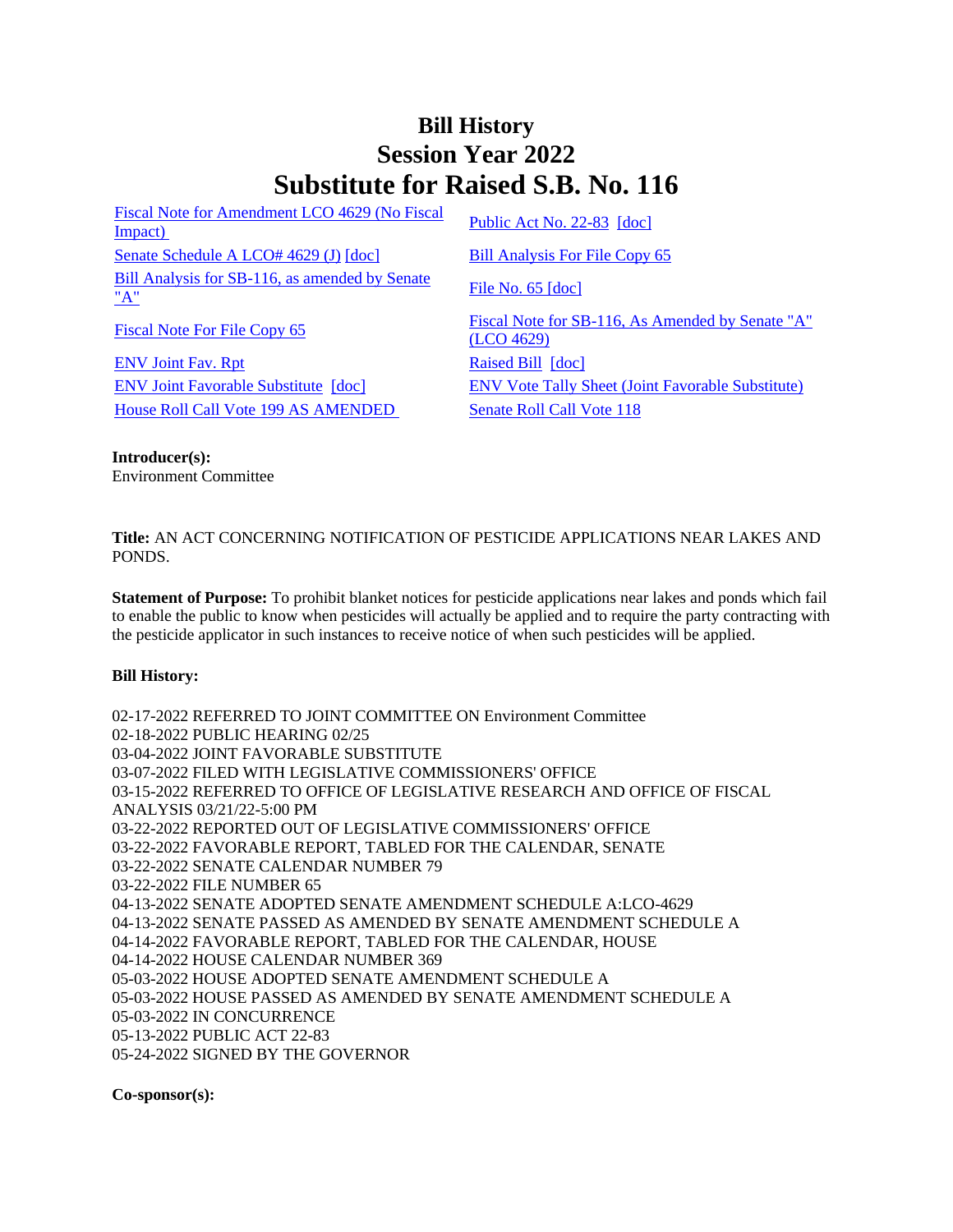## **Bill History Session Year 2022 Substitute for Raised S.B. No. 116**

[Fiscal Note for Amendment LCO 4629 \(No Fiscal](/2022/fna/pdf/2022SB-00116-R00LCO04629-FNA.PDF)  <u>Fiscal Note for Americane RCO 4029 (NO Fiscal</u> [Public Act No. 22-83](/2022/ACT/PA/PDF/2022PA-00083-R00SB-00116-PA.PDF) [\[doc\]](https://search.cga.state.ct.us/dl2022/PA/DOC/2022PA-00083-R00SB-00116-PA.DOCX)<br>Impact) [Senate Schedule A LCO# 4629 \(J\)](/2022/amd/S/pdf/2022SB-00116-R00SA-AMD.pdf) [\[doc\]](https://search.cga.state.ct.us/dl2022/AMd/DOC/2022SB-00116-R00SA-AMD.Docx) [Bill Analysis For File Copy 65](/2022/BA/PDF/2022SB-00116-R000065-BA.PDF) [Bill Analysis for SB-116, as amended by Senate](/2022/BA/PDF/2022SB-00116-R01-BA.PDF)   $\frac{\text{File No. 65 [doc]}}{\text{A}}$  $\frac{\text{File No. 65 [doc]}}{\text{A}}$  $\frac{\text{File No. 65 [doc]}}{\text{A}}$  $\frac{\text{File No. 65 [doc]}}{\text{A}}$  $\frac{\text{File No. 65 [doc]}}{\text{A}}$ 

[ENV Joint Fav. Rpt](/2022/JFR/S/PDF/2022SB-00116-R00ENV-JFR.PDF) [Raised Bill](/2022/TOB/S/PDF/2022SB-00116-R00-SB.PDF) [\[doc\]](https://search.cga.state.ct.us/dl2022/TOB/DOC/2022SB-00116-R00-SB.DOCX) [House Roll Call Vote 199 AS AMENDED](/2022/VOTE/H/PDF/2022HV-00199-R00SB00116-HV.PDF) [Senate Roll Call Vote 118](/2022/VOTE/S/PDF/2022SV-00118-R00SB00116-SV.PDF) 

[Fiscal Note For File Copy 65](/2022/FN/PDF/2022SB-00116-R000065-FN.PDF) Fiscal Note for SB-116, As Amended by Senate "A" [\(LCO 4629\)](/2022/FN/PDF/2022SB-00116-R01-FN.PDF) [ENV Joint Favorable Substitute](/2022/TOB/S/PDF/2022SB-00116-R01-SB.PDF) [\[doc\]](https://search.cga.state.ct.us/dl2022/TOB/DOC/2022SB-00116-R01-SB.DOCX) [ENV Vote Tally Sheet \(Joint Favorable Substitute\)](/2022/TS/S/PDF/2022SB-00116-R00ENV-CV37-TS.PDF)

**Introducer(s):** Environment Committee

**Title:** AN ACT CONCERNING NOTIFICATION OF PESTICIDE APPLICATIONS NEAR LAKES AND PONDS.

**Statement of Purpose:** To prohibit blanket notices for pesticide applications near lakes and ponds which fail to enable the public to know when pesticides will actually be applied and to require the party contracting with the pesticide applicator in such instances to receive notice of when such pesticides will be applied.

## **Bill History:**

02-17-2022 REFERRED TO JOINT COMMITTEE ON Environment Committee 02-18-2022 PUBLIC HEARING 02/25 03-04-2022 JOINT FAVORABLE SUBSTITUTE 03-07-2022 FILED WITH LEGISLATIVE COMMISSIONERS' OFFICE 03-15-2022 REFERRED TO OFFICE OF LEGISLATIVE RESEARCH AND OFFICE OF FISCAL ANALYSIS 03/21/22-5:00 PM 03-22-2022 REPORTED OUT OF LEGISLATIVE COMMISSIONERS' OFFICE 03-22-2022 FAVORABLE REPORT, TABLED FOR THE CALENDAR, SENATE 03-22-2022 SENATE CALENDAR NUMBER 79 03-22-2022 FILE NUMBER 65 04-13-2022 SENATE ADOPTED SENATE AMENDMENT SCHEDULE A:LCO-4629 04-13-2022 SENATE PASSED AS AMENDED BY SENATE AMENDMENT SCHEDULE A 04-14-2022 FAVORABLE REPORT, TABLED FOR THE CALENDAR, HOUSE 04-14-2022 HOUSE CALENDAR NUMBER 369 05-03-2022 HOUSE ADOPTED SENATE AMENDMENT SCHEDULE A 05-03-2022 HOUSE PASSED AS AMENDED BY SENATE AMENDMENT SCHEDULE A 05-03-2022 IN CONCURRENCE 05-13-2022 PUBLIC ACT 22-83 05-24-2022 SIGNED BY THE GOVERNOR

**Co-sponsor(s):**